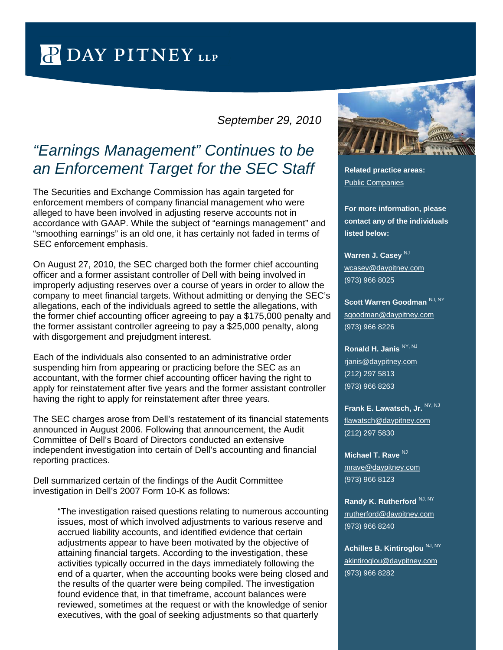## P DAY PITNEY LLP

## *September 29, 2010*

## *"Earnings Management" Continues to be an Enforcement Target for the SEC Staff* **Related practice areas:**

The Securities and Exchange Commission has again targeted for enforcement members of company financial management who were alleged to have been involved in adjusting reserve accounts not in accordance with GAAP. While the subject of "earnings management" and "smoothing earnings" is an old one, it has certainly not faded in terms of SEC enforcement emphasis.

On August 27, 2010, the SEC charged both the former chief accounting officer and a former assistant controller of Dell with being involved in improperly adjusting reserves over a course of years in order to allow the company to meet financial targets. Without admitting or denying the SEC's allegations, each of the individuals agreed to settle the allegations, with the former chief accounting officer agreeing to pay a \$175,000 penalty and the former assistant controller agreeing to pay a \$25,000 penalty, along with disgorgement and prejudgment interest.

Each of the individuals also consented to an administrative order suspending him from appearing or practicing before the SEC as an accountant, with the former chief accounting officer having the right to apply for reinstatement after five years and the former assistant controller having the right to apply for reinstatement after three years.

The SEC charges arose from Dell's restatement of its financial statements announced in August 2006. Following that announcement, the Audit Committee of Dell's Board of Directors conducted an extensive independent investigation into certain of Dell's accounting and financial reporting practices.

Dell summarized certain of the findings of the Audit Committee investigation in Dell's 2007 Form 10-K as follows:

"The investigation raised questions relating to numerous accounting issues, most of which involved adjustments to various reserve and accrued liability accounts, and identified evidence that certain adjustments appear to have been motivated by the objective of attaining financial targets. According to the investigation, these activities typically occurred in the days immediately following the end of a quarter, when the accounting books were being closed and the results of the quarter were being compiled. The investigation found evidence that, in that timeframe, account balances were reviewed, sometimes at the request or with the knowledge of senior executives, with the goal of seeking adjustments so that quarterly



[Public Companies](http://www.daypitney.com/practices/practice-detail.aspx?pid=56) 

**For more information, please contact any of the individuals listed below:**

**Warren J. Casey** NJ [wcasey@daypitney.com](mailto:wcasey@daypitney.com) (973) 966 8025

Scott Warren Goodman<sup>NJ, NY</sup> [sgoodman@daypitney.com](mailto:sgoodman@daypitney.com) (973) 966 8226

**Ronald H. Janis** NY, NJ [rjanis@daypitney.com](mailto:rjanis@daypitney.com) (212) 297 5813 (973) 966 8263

**Frank E. Lawatsch, Jr. NY, NJ** [flawatsch@daypitney.com](mailto:flawatsch@daypitney.com) (212) 297 5830

**Michael T. Rave NJ** [mrave@daypitney.com](mailto:mrave@daypitney.com) (973) 966 8123

**Randy K. Rutherford NJ, NY** [rrutherford@daypitney.com](mailto:rrutherford@daypitney.com) (973) 966 8240

**Achilles B. Kintiroglou NJ, NY** [akintiroglou@daypitney.com](mailto:akintiroglou@daypitney.com) (973) 966 8282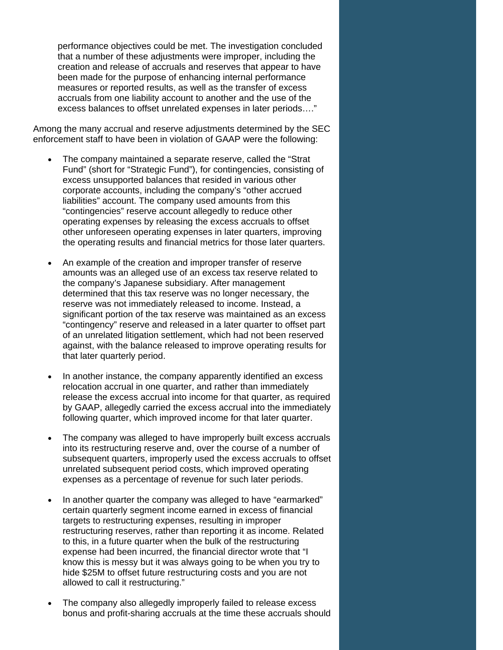performance objectives could be met. The investigation concluded that a number of these adjustments were improper, including the creation and release of accruals and reserves that appear to have been made for the purpose of enhancing internal performance measures or reported results, as well as the transfer of excess accruals from one liability account to another and the use of the excess balances to offset unrelated expenses in later periods…."

Among the many accrual and reserve adjustments determined by the SEC enforcement staff to have been in violation of GAAP were the following:

- The company maintained a separate reserve, called the "Strat" Fund" (short for "Strategic Fund"), for contingencies, consisting of excess unsupported balances that resided in various other corporate accounts, including the company's "other accrued liabilities" account. The company used amounts from this "contingencies" reserve account allegedly to reduce other operating expenses by releasing the excess accruals to offset other unforeseen operating expenses in later quarters, improving the operating results and financial metrics for those later quarters.
- An example of the creation and improper transfer of reserve amounts was an alleged use of an excess tax reserve related to the company's Japanese subsidiary. After management determined that this tax reserve was no longer necessary, the reserve was not immediately released to income. Instead, a significant portion of the tax reserve was maintained as an excess "contingency" reserve and released in a later quarter to offset part of an unrelated litigation settlement, which had not been reserved against, with the balance released to improve operating results for that later quarterly period.
- In another instance, the company apparently identified an excess relocation accrual in one quarter, and rather than immediately release the excess accrual into income for that quarter, as required by GAAP, allegedly carried the excess accrual into the immediately following quarter, which improved income for that later quarter.
- The company was alleged to have improperly built excess accruals into its restructuring reserve and, over the course of a number of subsequent quarters, improperly used the excess accruals to offset unrelated subsequent period costs, which improved operating expenses as a percentage of revenue for such later periods.
- In another quarter the company was alleged to have "earmarked" certain quarterly segment income earned in excess of financial targets to restructuring expenses, resulting in improper restructuring reserves, rather than reporting it as income. Related to this, in a future quarter when the bulk of the restructuring expense had been incurred, the financial director wrote that "I know this is messy but it was always going to be when you try to hide \$25M to offset future restructuring costs and you are not allowed to call it restructuring."
- The company also allegedly improperly failed to release excess bonus and profit-sharing accruals at the time these accruals should